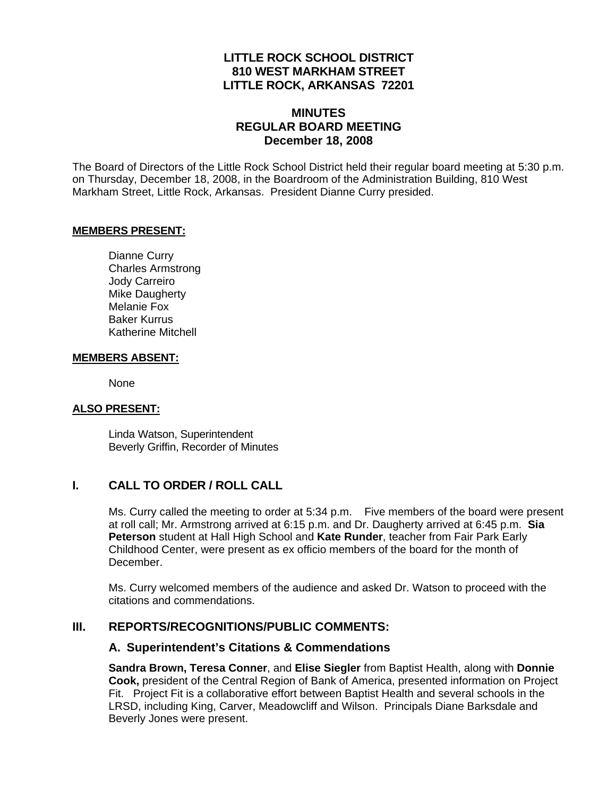### **LITTLE ROCK SCHOOL DISTRICT 810 WEST MARKHAM STREET LITTLE ROCK, ARKANSAS 72201**

### **MINUTES REGULAR BOARD MEETING December 18, 2008**

The Board of Directors of the Little Rock School District held their regular board meeting at 5:30 p.m. on Thursday, December 18, 2008, in the Boardroom of the Administration Building, 810 West Markham Street, Little Rock, Arkansas. President Dianne Curry presided.

#### **MEMBERS PRESENT:**

Dianne Curry Charles Armstrong Jody Carreiro Mike Daugherty Melanie Fox Baker Kurrus Katherine Mitchell

#### **MEMBERS ABSENT:**

None

#### **ALSO PRESENT:**

 Linda Watson, Superintendent Beverly Griffin, Recorder of Minutes

### **I. CALL TO ORDER / ROLL CALL**

Ms. Curry called the meeting to order at 5:34 p.m. Five members of the board were present at roll call; Mr. Armstrong arrived at 6:15 p.m. and Dr. Daugherty arrived at 6:45 p.m. **Sia Peterson** student at Hall High School and **Kate Runder**, teacher from Fair Park Early Childhood Center, were present as ex officio members of the board for the month of December.

Ms. Curry welcomed members of the audience and asked Dr. Watson to proceed with the citations and commendations.

### **III. REPORTS/RECOGNITIONS/PUBLIC COMMENTS:**

#### **A. Superintendent's Citations & Commendations**

**Sandra Brown, Teresa Conner**, and **Elise Siegler** from Baptist Health, along with **Donnie Cook,** president of the Central Region of Bank of America, presented information on Project Fit. Project Fit is a collaborative effort between Baptist Health and several schools in the LRSD, including King, Carver, Meadowcliff and Wilson. Principals Diane Barksdale and Beverly Jones were present.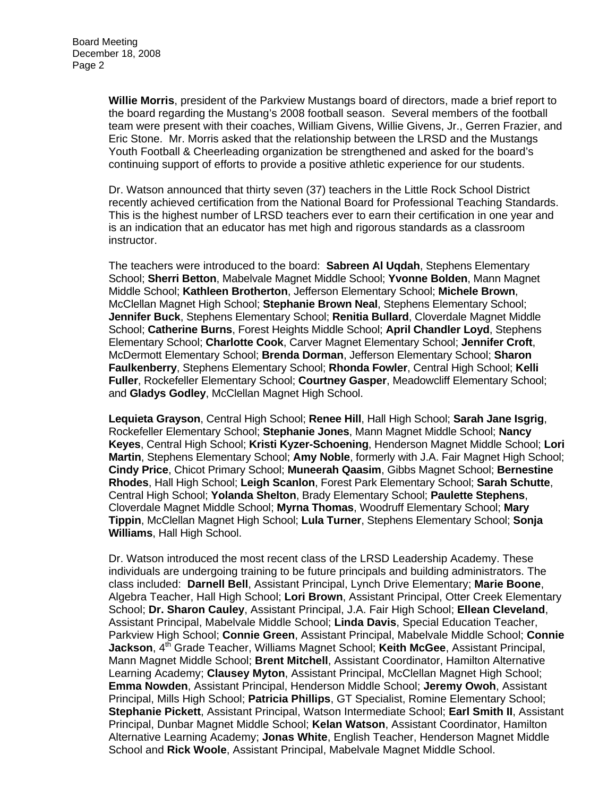**Willie Morris**, president of the Parkview Mustangs board of directors, made a brief report to the board regarding the Mustang's 2008 football season. Several members of the football team were present with their coaches, William Givens, Willie Givens, Jr., Gerren Frazier, and Eric Stone. Mr. Morris asked that the relationship between the LRSD and the Mustangs Youth Football & Cheerleading organization be strengthened and asked for the board's continuing support of efforts to provide a positive athletic experience for our students.

Dr. Watson announced that thirty seven (37) teachers in the Little Rock School District recently achieved certification from the National Board for Professional Teaching Standards. This is the highest number of LRSD teachers ever to earn their certification in one year and is an indication that an educator has met high and rigorous standards as a classroom instructor.

The teachers were introduced to the board: **Sabreen Al Uqdah**, Stephens Elementary School; **Sherri Betton**, Mabelvale Magnet Middle School; **Yvonne Bolden**, Mann Magnet Middle School; **Kathleen Brotherton**, Jefferson Elementary School; **Michele Brown**, McClellan Magnet High School; **Stephanie Brown Neal**, Stephens Elementary School; **Jennifer Buck**, Stephens Elementary School; **Renitia Bullard**, Cloverdale Magnet Middle School; **Catherine Burns**, Forest Heights Middle School; **April Chandler Loyd**, Stephens Elementary School; **Charlotte Cook**, Carver Magnet Elementary School; **Jennifer Croft**, McDermott Elementary School; **Brenda Dorman**, Jefferson Elementary School; **Sharon Faulkenberry**, Stephens Elementary School; **Rhonda Fowler**, Central High School; **Kelli Fuller**, Rockefeller Elementary School; **Courtney Gasper**, Meadowcliff Elementary School; and **Gladys Godley**, McClellan Magnet High School.

**Lequieta Grayson**, Central High School; **Renee Hill**, Hall High School; **Sarah Jane Isgrig**, Rockefeller Elementary School; **Stephanie Jones**, Mann Magnet Middle School; **Nancy Keyes**, Central High School; **Kristi Kyzer-Schoening**, Henderson Magnet Middle School; **Lori Martin**, Stephens Elementary School; **Amy Noble**, formerly with J.A. Fair Magnet High School; **Cindy Price**, Chicot Primary School; **Muneerah Qaasim**, Gibbs Magnet School; **Bernestine Rhodes**, Hall High School; **Leigh Scanlon**, Forest Park Elementary School; **Sarah Schutte**, Central High School; **Yolanda Shelton**, Brady Elementary School; **Paulette Stephens**, Cloverdale Magnet Middle School; **Myrna Thomas**, Woodruff Elementary School; **Mary Tippin**, McClellan Magnet High School; **Lula Turner**, Stephens Elementary School; **Sonja Williams**, Hall High School.

Dr. Watson introduced the most recent class of the LRSD Leadership Academy. These individuals are undergoing training to be future principals and building administrators. The class included: **Darnell Bell**, Assistant Principal, Lynch Drive Elementary; **Marie Boone**, Algebra Teacher, Hall High School; **Lori Brown**, Assistant Principal, Otter Creek Elementary School; **Dr. Sharon Cauley**, Assistant Principal, J.A. Fair High School; **Ellean Cleveland**, Assistant Principal, Mabelvale Middle School; **Linda Davis**, Special Education Teacher, Parkview High School; **Connie Green**, Assistant Principal, Mabelvale Middle School; **Connie Jackson**, 4<sup>th</sup> Grade Teacher, Williams Magnet School; Keith McGee, Assistant Principal, Mann Magnet Middle School; **Brent Mitchell**, Assistant Coordinator, Hamilton Alternative Learning Academy; **Clausey Myton**, Assistant Principal, McClellan Magnet High School; **Emma Nowden**, Assistant Principal, Henderson Middle School; **Jeremy Owoh**, Assistant Principal, Mills High School; **Patricia Phillips**, GT Specialist, Romine Elementary School; **Stephanie Pickett**, Assistant Principal, Watson Intermediate School; **Earl Smith II**, Assistant Principal, Dunbar Magnet Middle School; **Kelan Watson**, Assistant Coordinator, Hamilton Alternative Learning Academy; **Jonas White**, English Teacher, Henderson Magnet Middle School and **Rick Woole**, Assistant Principal, Mabelvale Magnet Middle School.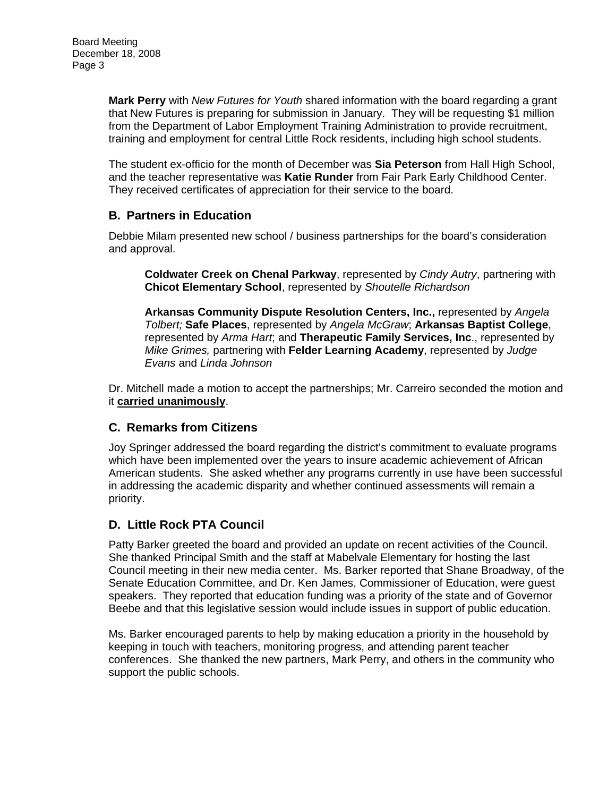**Mark Perry** with *New Futures for Youth* shared information with the board regarding a grant that New Futures is preparing for submission in January. They will be requesting \$1 million from the Department of Labor Employment Training Administration to provide recruitment, training and employment for central Little Rock residents, including high school students.

The student ex-officio for the month of December was **Sia Peterson** from Hall High School, and the teacher representative was **Katie Runder** from Fair Park Early Childhood Center. They received certificates of appreciation for their service to the board.

### **B. Partners in Education**

Debbie Milam presented new school / business partnerships for the board's consideration and approval.

**Coldwater Creek on Chenal Parkway**, represented by *Cindy Autry*, partnering with **Chicot Elementary School**, represented by *Shoutelle Richardson* 

**Arkansas Community Dispute Resolution Centers, Inc.,** represented by *Angela Tolbert;* **Safe Places**, represented by *Angela McGraw*; **Arkansas Baptist College**, represented by *Arma Hart*; and **Therapeutic Family Services, Inc**., represented by *Mike Grimes,* partnering with **Felder Learning Academy**, represented by *Judge Evans* and *Linda Johnson*

Dr. Mitchell made a motion to accept the partnerships; Mr. Carreiro seconded the motion and it **carried unanimously**.

### **C. Remarks from Citizens**

Joy Springer addressed the board regarding the district's commitment to evaluate programs which have been implemented over the years to insure academic achievement of African American students. She asked whether any programs currently in use have been successful in addressing the academic disparity and whether continued assessments will remain a priority.

# **D. Little Rock PTA Council**

Patty Barker greeted the board and provided an update on recent activities of the Council. She thanked Principal Smith and the staff at Mabelvale Elementary for hosting the last Council meeting in their new media center. Ms. Barker reported that Shane Broadway, of the Senate Education Committee, and Dr. Ken James, Commissioner of Education, were guest speakers. They reported that education funding was a priority of the state and of Governor Beebe and that this legislative session would include issues in support of public education.

Ms. Barker encouraged parents to help by making education a priority in the household by keeping in touch with teachers, monitoring progress, and attending parent teacher conferences. She thanked the new partners, Mark Perry, and others in the community who support the public schools.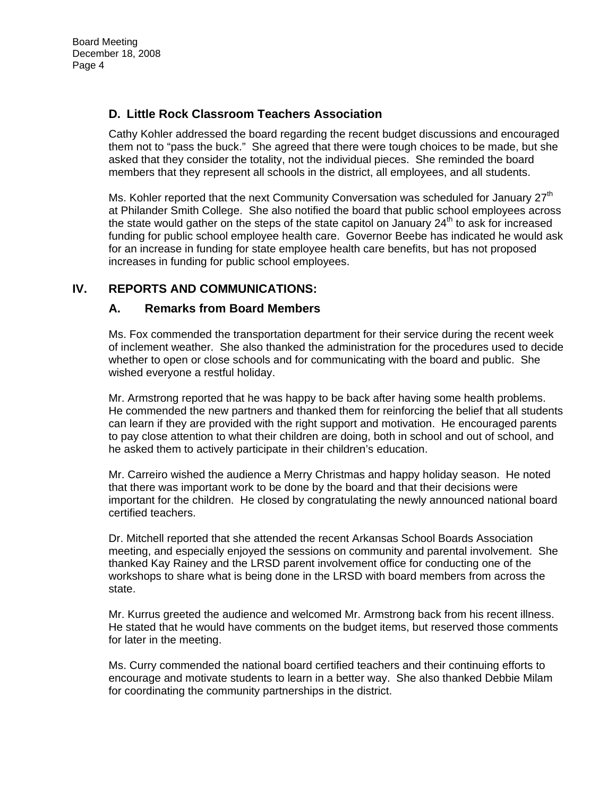### **D. Little Rock Classroom Teachers Association**

Cathy Kohler addressed the board regarding the recent budget discussions and encouraged them not to "pass the buck." She agreed that there were tough choices to be made, but she asked that they consider the totality, not the individual pieces. She reminded the board members that they represent all schools in the district, all employees, and all students.

Ms. Kohler reported that the next Community Conversation was scheduled for January  $27<sup>th</sup>$ at Philander Smith College. She also notified the board that public school employees across the state would gather on the steps of the state capitol on January  $24<sup>th</sup>$  to ask for increased funding for public school employee health care. Governor Beebe has indicated he would ask for an increase in funding for state employee health care benefits, but has not proposed increases in funding for public school employees.

### **IV. REPORTS AND COMMUNICATIONS:**

### **A. Remarks from Board Members**

Ms. Fox commended the transportation department for their service during the recent week of inclement weather. She also thanked the administration for the procedures used to decide whether to open or close schools and for communicating with the board and public. She wished everyone a restful holiday.

Mr. Armstrong reported that he was happy to be back after having some health problems. He commended the new partners and thanked them for reinforcing the belief that all students can learn if they are provided with the right support and motivation. He encouraged parents to pay close attention to what their children are doing, both in school and out of school, and he asked them to actively participate in their children's education.

Mr. Carreiro wished the audience a Merry Christmas and happy holiday season. He noted that there was important work to be done by the board and that their decisions were important for the children. He closed by congratulating the newly announced national board certified teachers.

Dr. Mitchell reported that she attended the recent Arkansas School Boards Association meeting, and especially enjoyed the sessions on community and parental involvement. She thanked Kay Rainey and the LRSD parent involvement office for conducting one of the workshops to share what is being done in the LRSD with board members from across the state.

Mr. Kurrus greeted the audience and welcomed Mr. Armstrong back from his recent illness. He stated that he would have comments on the budget items, but reserved those comments for later in the meeting.

Ms. Curry commended the national board certified teachers and their continuing efforts to encourage and motivate students to learn in a better way. She also thanked Debbie Milam for coordinating the community partnerships in the district.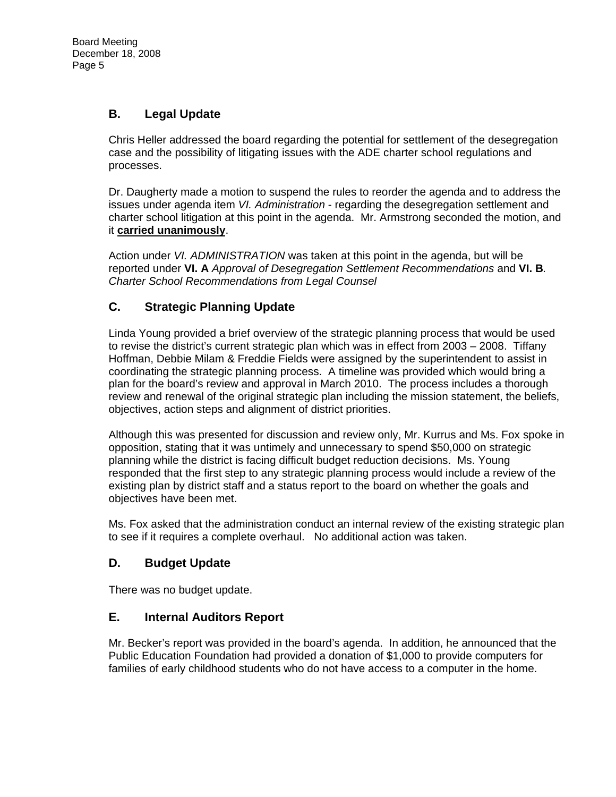# **B. Legal Update**

Chris Heller addressed the board regarding the potential for settlement of the desegregation case and the possibility of litigating issues with the ADE charter school regulations and processes.

Dr. Daugherty made a motion to suspend the rules to reorder the agenda and to address the issues under agenda item *VI. Administration* - regarding the desegregation settlement and charter school litigation at this point in the agenda. Mr. Armstrong seconded the motion, and it **carried unanimously**.

Action under *VI. ADMINISTRATION* was taken at this point in the agenda, but will be reported under **VI. A** *Approval of Desegregation Settlement Recommendations* and **VI. B***. Charter School Recommendations from Legal Counsel* 

# **C. Strategic Planning Update**

Linda Young provided a brief overview of the strategic planning process that would be used to revise the district's current strategic plan which was in effect from 2003 – 2008. Tiffany Hoffman, Debbie Milam & Freddie Fields were assigned by the superintendent to assist in coordinating the strategic planning process. A timeline was provided which would bring a plan for the board's review and approval in March 2010. The process includes a thorough review and renewal of the original strategic plan including the mission statement, the beliefs, objectives, action steps and alignment of district priorities.

Although this was presented for discussion and review only, Mr. Kurrus and Ms. Fox spoke in opposition, stating that it was untimely and unnecessary to spend \$50,000 on strategic planning while the district is facing difficult budget reduction decisions. Ms. Young responded that the first step to any strategic planning process would include a review of the existing plan by district staff and a status report to the board on whether the goals and objectives have been met.

Ms. Fox asked that the administration conduct an internal review of the existing strategic plan to see if it requires a complete overhaul. No additional action was taken.

# **D. Budget Update**

There was no budget update.

# **E. Internal Auditors Report**

Mr. Becker's report was provided in the board's agenda. In addition, he announced that the Public Education Foundation had provided a donation of \$1,000 to provide computers for families of early childhood students who do not have access to a computer in the home.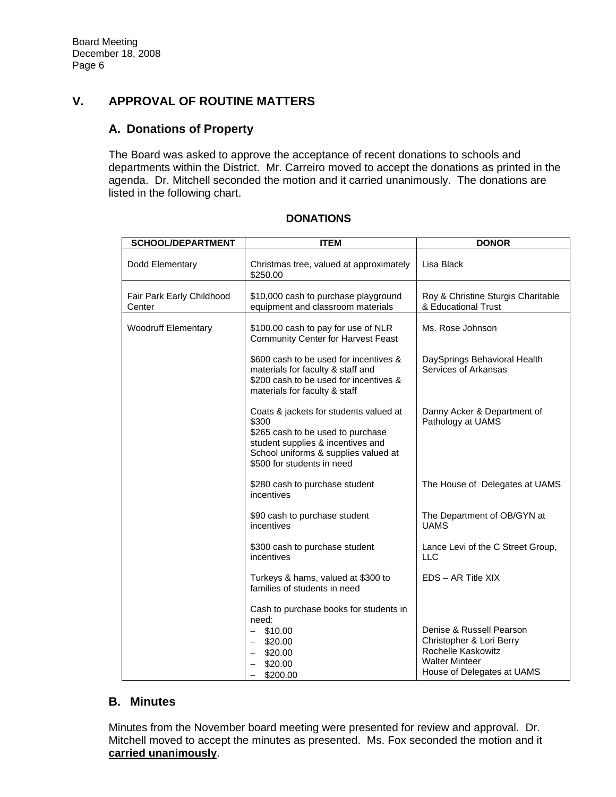# **V. APPROVAL OF ROUTINE MATTERS**

### **A. Donations of Property**

The Board was asked to approve the acceptance of recent donations to schools and departments within the District. Mr. Carreiro moved to accept the donations as printed in the agenda. Dr. Mitchell seconded the motion and it carried unanimously. The donations are listed in the following chart.

| <b>SCHOOL/DEPARTMENT</b>            | <b>ITEM</b>                                                                                                                                                                                     | <b>DONOR</b>                                                                                                                      |
|-------------------------------------|-------------------------------------------------------------------------------------------------------------------------------------------------------------------------------------------------|-----------------------------------------------------------------------------------------------------------------------------------|
| Dodd Elementary                     | Christmas tree, valued at approximately<br>\$250.00                                                                                                                                             | Lisa Black                                                                                                                        |
| Fair Park Early Childhood<br>Center | \$10,000 cash to purchase playground<br>equipment and classroom materials                                                                                                                       | Roy & Christine Sturgis Charitable<br>& Educational Trust                                                                         |
| <b>Woodruff Elementary</b>          | \$100.00 cash to pay for use of NLR<br><b>Community Center for Harvest Feast</b>                                                                                                                | Ms. Rose Johnson                                                                                                                  |
|                                     | \$600 cash to be used for incentives &<br>materials for faculty & staff and<br>\$200 cash to be used for incentives &<br>materials for faculty & staff                                          | DaySprings Behavioral Health<br>Services of Arkansas                                                                              |
|                                     | Coats & jackets for students valued at<br>\$300<br>\$265 cash to be used to purchase<br>student supplies & incentives and<br>School uniforms & supplies valued at<br>\$500 for students in need | Danny Acker & Department of<br>Pathology at UAMS                                                                                  |
|                                     | \$280 cash to purchase student<br>incentives                                                                                                                                                    | The House of Delegates at UAMS                                                                                                    |
|                                     | \$90 cash to purchase student<br>incentives                                                                                                                                                     | The Department of OB/GYN at<br><b>UAMS</b>                                                                                        |
|                                     | \$300 cash to purchase student<br>incentives                                                                                                                                                    | Lance Levi of the C Street Group,<br>LLC                                                                                          |
|                                     | Turkeys & hams, valued at \$300 to<br>families of students in need                                                                                                                              | EDS - AR Title XIX                                                                                                                |
|                                     | Cash to purchase books for students in<br>need:<br>\$10.00<br>$\overline{\phantom{0}}$<br>$-$ \$20.00<br>\$20.00<br>\$20.00<br>\$200.00                                                         | Denise & Russell Pearson<br>Christopher & Lori Berry<br>Rochelle Kaskowitz<br><b>Walter Minteer</b><br>House of Delegates at UAMS |

#### **DONATIONS**

### **B. Minutes**

Minutes from the November board meeting were presented for review and approval. Dr. Mitchell moved to accept the minutes as presented. Ms. Fox seconded the motion and it **carried unanimously**.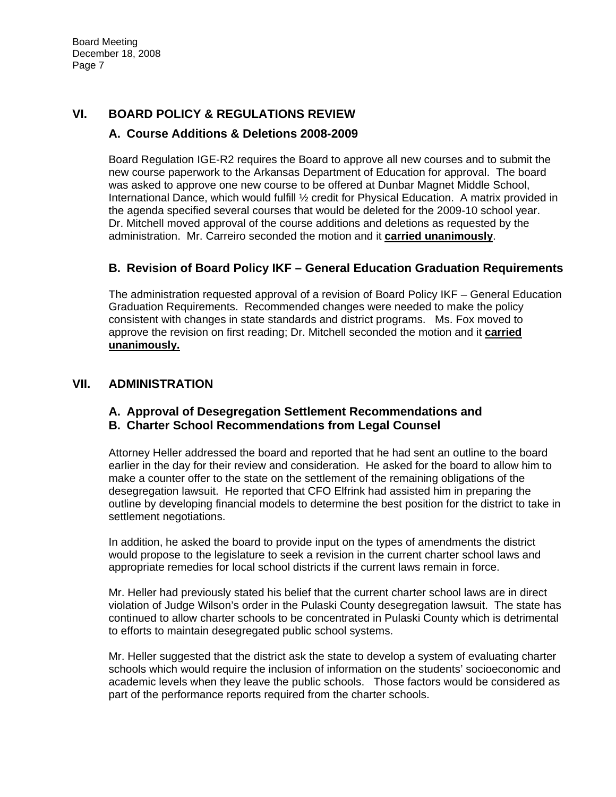# **VI. BOARD POLICY & REGULATIONS REVIEW**

### **A. Course Additions & Deletions 2008-2009**

Board Regulation IGE-R2 requires the Board to approve all new courses and to submit the new course paperwork to the Arkansas Department of Education for approval. The board was asked to approve one new course to be offered at Dunbar Magnet Middle School, International Dance, which would fulfill ½ credit for Physical Education. A matrix provided in the agenda specified several courses that would be deleted for the 2009-10 school year. Dr. Mitchell moved approval of the course additions and deletions as requested by the administration. Mr. Carreiro seconded the motion and it **carried unanimously**.

# **B. Revision of Board Policy IKF – General Education Graduation Requirements**

The administration requested approval of a revision of Board Policy IKF – General Education Graduation Requirements. Recommended changes were needed to make the policy consistent with changes in state standards and district programs. Ms. Fox moved to approve the revision on first reading; Dr. Mitchell seconded the motion and it **carried unanimously.** 

### **VII. ADMINISTRATION**

# **A. Approval of Desegregation Settlement Recommendations and**

### **B. Charter School Recommendations from Legal Counsel**

Attorney Heller addressed the board and reported that he had sent an outline to the board earlier in the day for their review and consideration. He asked for the board to allow him to make a counter offer to the state on the settlement of the remaining obligations of the desegregation lawsuit. He reported that CFO Elfrink had assisted him in preparing the outline by developing financial models to determine the best position for the district to take in settlement negotiations.

In addition, he asked the board to provide input on the types of amendments the district would propose to the legislature to seek a revision in the current charter school laws and appropriate remedies for local school districts if the current laws remain in force.

Mr. Heller had previously stated his belief that the current charter school laws are in direct violation of Judge Wilson's order in the Pulaski County desegregation lawsuit. The state has continued to allow charter schools to be concentrated in Pulaski County which is detrimental to efforts to maintain desegregated public school systems.

Mr. Heller suggested that the district ask the state to develop a system of evaluating charter schools which would require the inclusion of information on the students' socioeconomic and academic levels when they leave the public schools. Those factors would be considered as part of the performance reports required from the charter schools.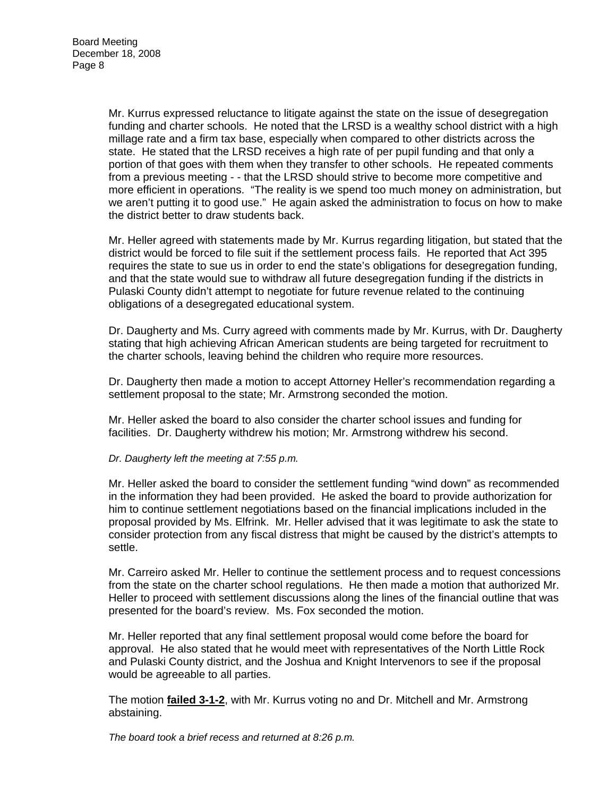Mr. Kurrus expressed reluctance to litigate against the state on the issue of desegregation funding and charter schools. He noted that the LRSD is a wealthy school district with a high millage rate and a firm tax base, especially when compared to other districts across the state. He stated that the LRSD receives a high rate of per pupil funding and that only a portion of that goes with them when they transfer to other schools. He repeated comments from a previous meeting - - that the LRSD should strive to become more competitive and more efficient in operations. "The reality is we spend too much money on administration, but we aren't putting it to good use." He again asked the administration to focus on how to make the district better to draw students back.

Mr. Heller agreed with statements made by Mr. Kurrus regarding litigation, but stated that the district would be forced to file suit if the settlement process fails. He reported that Act 395 requires the state to sue us in order to end the state's obligations for desegregation funding, and that the state would sue to withdraw all future desegregation funding if the districts in Pulaski County didn't attempt to negotiate for future revenue related to the continuing obligations of a desegregated educational system.

Dr. Daugherty and Ms. Curry agreed with comments made by Mr. Kurrus, with Dr. Daugherty stating that high achieving African American students are being targeted for recruitment to the charter schools, leaving behind the children who require more resources.

Dr. Daugherty then made a motion to accept Attorney Heller's recommendation regarding a settlement proposal to the state; Mr. Armstrong seconded the motion.

Mr. Heller asked the board to also consider the charter school issues and funding for facilities. Dr. Daugherty withdrew his motion; Mr. Armstrong withdrew his second.

#### *Dr. Daugherty left the meeting at 7:55 p.m.*

Mr. Heller asked the board to consider the settlement funding "wind down" as recommended in the information they had been provided. He asked the board to provide authorization for him to continue settlement negotiations based on the financial implications included in the proposal provided by Ms. Elfrink. Mr. Heller advised that it was legitimate to ask the state to consider protection from any fiscal distress that might be caused by the district's attempts to settle.

Mr. Carreiro asked Mr. Heller to continue the settlement process and to request concessions from the state on the charter school regulations. He then made a motion that authorized Mr. Heller to proceed with settlement discussions along the lines of the financial outline that was presented for the board's review. Ms. Fox seconded the motion.

Mr. Heller reported that any final settlement proposal would come before the board for approval. He also stated that he would meet with representatives of the North Little Rock and Pulaski County district, and the Joshua and Knight Intervenors to see if the proposal would be agreeable to all parties.

The motion **failed 3-1-2**, with Mr. Kurrus voting no and Dr. Mitchell and Mr. Armstrong abstaining.

*The board took a brief recess and returned at 8:26 p.m.*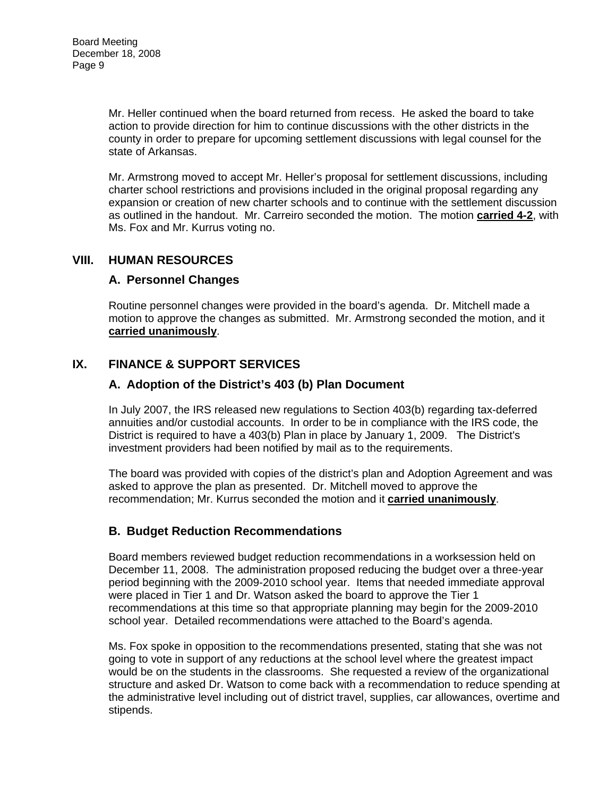Mr. Heller continued when the board returned from recess. He asked the board to take action to provide direction for him to continue discussions with the other districts in the county in order to prepare for upcoming settlement discussions with legal counsel for the state of Arkansas.

Mr. Armstrong moved to accept Mr. Heller's proposal for settlement discussions, including charter school restrictions and provisions included in the original proposal regarding any expansion or creation of new charter schools and to continue with the settlement discussion as outlined in the handout. Mr. Carreiro seconded the motion. The motion **carried 4-2**, with Ms. Fox and Mr. Kurrus voting no.

### **VIII. HUMAN RESOURCES**

#### **A. Personnel Changes**

Routine personnel changes were provided in the board's agenda. Dr. Mitchell made a motion to approve the changes as submitted. Mr. Armstrong seconded the motion, and it **carried unanimously**.

### **IX. FINANCE & SUPPORT SERVICES**

### **A. Adoption of the District's 403 (b) Plan Document**

In July 2007, the IRS released new regulations to Section 403(b) regarding tax-deferred annuities and/or custodial accounts. In order to be in compliance with the IRS code, the District is required to have a 403(b) Plan in place by January 1, 2009. The District's investment providers had been notified by mail as to the requirements.

The board was provided with copies of the district's plan and Adoption Agreement and was asked to approve the plan as presented. Dr. Mitchell moved to approve the recommendation; Mr. Kurrus seconded the motion and it **carried unanimously**.

# **B. Budget Reduction Recommendations**

Board members reviewed budget reduction recommendations in a worksession held on December 11, 2008. The administration proposed reducing the budget over a three-year period beginning with the 2009-2010 school year. Items that needed immediate approval were placed in Tier 1 and Dr. Watson asked the board to approve the Tier 1 recommendations at this time so that appropriate planning may begin for the 2009-2010 school year. Detailed recommendations were attached to the Board's agenda.

Ms. Fox spoke in opposition to the recommendations presented, stating that she was not going to vote in support of any reductions at the school level where the greatest impact would be on the students in the classrooms. She requested a review of the organizational structure and asked Dr. Watson to come back with a recommendation to reduce spending at the administrative level including out of district travel, supplies, car allowances, overtime and stipends.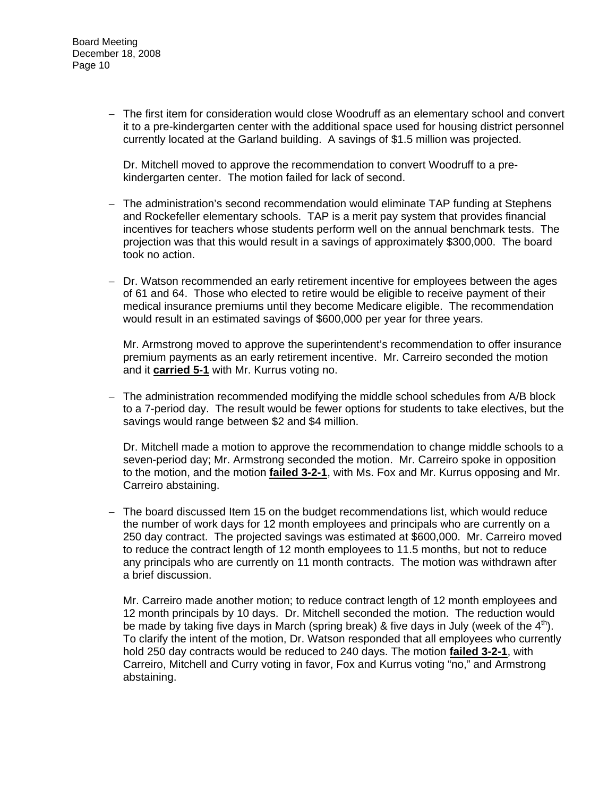− The first item for consideration would close Woodruff as an elementary school and convert it to a pre-kindergarten center with the additional space used for housing district personnel currently located at the Garland building. A savings of \$1.5 million was projected.

Dr. Mitchell moved to approve the recommendation to convert Woodruff to a prekindergarten center. The motion failed for lack of second.

- − The administration's second recommendation would eliminate TAP funding at Stephens and Rockefeller elementary schools. TAP is a merit pay system that provides financial incentives for teachers whose students perform well on the annual benchmark tests. The projection was that this would result in a savings of approximately \$300,000. The board took no action.
- − Dr. Watson recommended an early retirement incentive for employees between the ages of 61 and 64. Those who elected to retire would be eligible to receive payment of their medical insurance premiums until they become Medicare eligible. The recommendation would result in an estimated savings of \$600,000 per year for three years.

Mr. Armstrong moved to approve the superintendent's recommendation to offer insurance premium payments as an early retirement incentive. Mr. Carreiro seconded the motion and it **carried 5-1** with Mr. Kurrus voting no.

− The administration recommended modifying the middle school schedules from A/B block to a 7-period day. The result would be fewer options for students to take electives, but the savings would range between \$2 and \$4 million.

Dr. Mitchell made a motion to approve the recommendation to change middle schools to a seven-period day; Mr. Armstrong seconded the motion. Mr. Carreiro spoke in opposition to the motion, and the motion **failed 3-2-1**, with Ms. Fox and Mr. Kurrus opposing and Mr. Carreiro abstaining.

− The board discussed Item 15 on the budget recommendations list, which would reduce the number of work days for 12 month employees and principals who are currently on a 250 day contract. The projected savings was estimated at \$600,000. Mr. Carreiro moved to reduce the contract length of 12 month employees to 11.5 months, but not to reduce any principals who are currently on 11 month contracts. The motion was withdrawn after a brief discussion.

Mr. Carreiro made another motion; to reduce contract length of 12 month employees and 12 month principals by 10 days. Dr. Mitchell seconded the motion. The reduction would be made by taking five days in March (spring break) & five days in July (week of the  $4<sup>th</sup>$ ). To clarify the intent of the motion, Dr. Watson responded that all employees who currently hold 250 day contracts would be reduced to 240 days. The motion **failed 3-2-1**, with Carreiro, Mitchell and Curry voting in favor, Fox and Kurrus voting "no," and Armstrong abstaining.